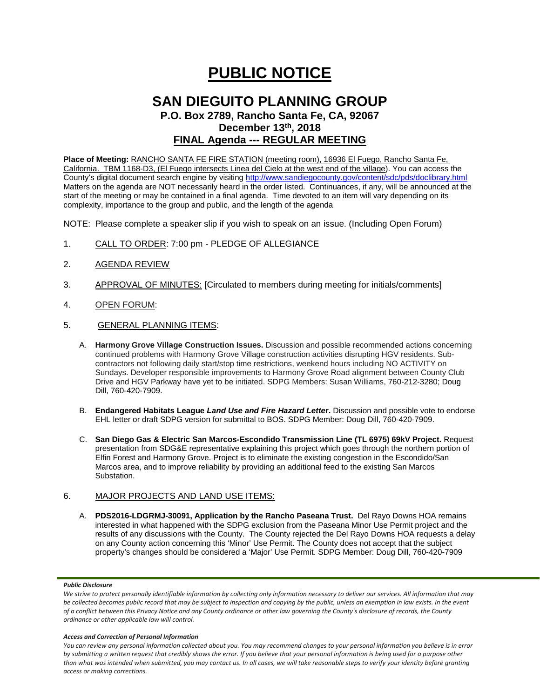# **PUBLIC NOTICE**

### **SAN DIEGUITO PLANNING GROUP P.O. Box 2789, Rancho Santa Fe, CA, 92067 December 13th, 2018**

## **FINAL Agenda --- REGULAR MEETING**

**Place of Meeting:** RANCHO SANTA FE FIRE STATION (meeting room), 16936 El Fuego, Rancho Santa Fe, California. TBM 1168-D3, (El Fuego intersects Linea del Cielo at the west end of the village). You can access the County's digital document search engine by visitin[g http://www.sandiegocounty.gov/content/sdc/pds/doclibrary.html](http://www.sandiegocounty.gov/content/sdc/pds/doclibrary.html) Matters on the agenda are NOT necessarily heard in the order listed. Continuances, if any, will be announced at the start of the meeting or may be contained in a final agenda. Time devoted to an item will vary depending on its complexity, importance to the group and public, and the length of the agenda

NOTE: Please complete a speaker slip if you wish to speak on an issue. (Including Open Forum)

- 1. CALL TO ORDER: 7:00 pm PLEDGE OF ALLEGIANCE
- 2. AGENDA REVIEW
- 3. APPROVAL OF MINUTES: [Circulated to members during meeting for initials/comments]
- 4. OPEN FORUM:
- 5. GENERAL PLANNING ITEMS:
	- A. **Harmony Grove Village Construction Issues.** Discussion and possible recommended actions concerning continued problems with Harmony Grove Village construction activities disrupting HGV residents. Subcontractors not following daily start/stop time restrictions, weekend hours including NO ACTIVITY on Sundays. Developer responsible improvements to Harmony Grove Road alignment between County Club Drive and HGV Parkway have yet to be initiated. SDPG Members: Susan Williams, 760-212-3280; Doug Dill, 760-420-7909.
	- B. **Endangered Habitats League** *Land Use and Fire Hazard Lette***r.** Discussion and possible vote to endorse EHL letter or draft SDPG version for submittal to BOS. SDPG Member: Doug Dill, 760-420-7909.
	- C. **San Diego Gas & Electric San Marcos-Escondido Transmission Line (TL 6975) 69kV Project.** Request presentation from SDG&E representative explaining this project which goes through the northern portion of Elfin Forest and Harmony Grove. Project is to eliminate the existing congestion in the Escondido/San Marcos area, and to improve reliability by providing an additional feed to the existing San Marcos Substation.

#### 6. MAJOR PROJECTS AND LAND USE ITEMS:

A. **PDS2016-LDGRMJ-30091, Application by the Rancho Paseana Trust.** Del Rayo Downs HOA remains interested in what happened with the SDPG exclusion from the Paseana Minor Use Permit project and the results of any discussions with the County. The County rejected the Del Rayo Downs HOA requests a delay on any County action concerning this 'Minor' Use Permit. The County does not accept that the subject property's changes should be considered a 'Major' Use Permit. SDPG Member: Doug Dill, 760-420-7909

#### *Public Disclosure*

#### *Access and Correction of Personal Information*

*You can review any personal information collected about you. You may recommend changes to your personal information you believe is in error by submitting a written request that credibly shows the error. If you believe that your personal information is being used for a purpose other than what was intended when submitted, you may contact us. In all cases, we will take reasonable steps to verify your identity before granting access or making corrections.*

We strive to protect personally identifiable information by collecting only information necessary to deliver our services. All information that may *be collected becomes public record that may be subject to inspection and copying by the public, unless an exemption in law exists. In the event of a conflict between this Privacy Notice and any County ordinance or other law governing the County's disclosure of records, the County ordinance or other applicable law will control.*